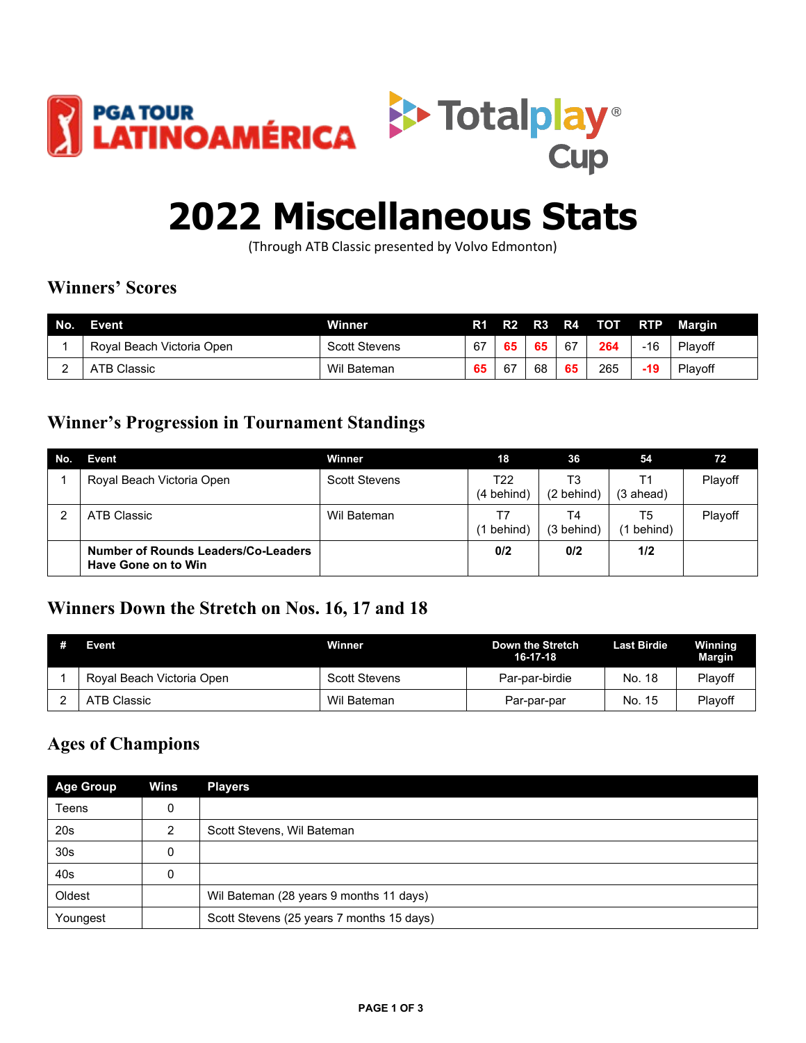



# **2022 Miscellaneous Stats**

(Through ATB Classic presented by Volvo Edmonton)

## **Winners' Scores**

| No. | Event                     | <b>Winner</b>        |    | R1 R2 | <b>R3</b> | <b>R4</b> | – тот | <b>RTP</b> | Margin  |
|-----|---------------------------|----------------------|----|-------|-----------|-----------|-------|------------|---------|
|     | Roval Beach Victoria Open | <b>Scott Stevens</b> | 67 | -65   | 65        | 67        | 264   | -16        | Plavoff |
|     | <b>ATB Classic</b>        | Wil Bateman          | 65 | -67   | 68        | 65        | 265   | 19،        | Playoff |

#### **Winner's Progression in Tournament Standings**

| No. | Event                                                      | Winner               | 18                  | 36                           | 54              | 72      |
|-----|------------------------------------------------------------|----------------------|---------------------|------------------------------|-----------------|---------|
|     | Royal Beach Victoria Open                                  | <b>Scott Stevens</b> | T22<br>$(4$ behind) | T3<br>$(2 \; \text{behind})$ | Τ1<br>(3 ahead) | Playoff |
|     | ATB Classic                                                | Wil Bateman          | behind)             | T4<br>$(3 \; \text{behind})$ | T5<br>behind)   | Playoff |
|     | Number of Rounds Leaders/Co-Leaders<br>Have Gone on to Win |                      | 0/2                 | 0/2                          | 1/2             |         |

## **Winners Down the Stretch on Nos. 16, 17 and 18**

| # | Event                     | Winner               | Down the Stretch<br>$16-17-18$ | <b>Last Birdie</b> | Winning<br><b>Margin</b> |
|---|---------------------------|----------------------|--------------------------------|--------------------|--------------------------|
|   | Roval Beach Victoria Open | <b>Scott Stevens</b> | Par-par-birdie                 | No. 18             | Plavoff                  |
|   | ATB Classic               | Wil Bateman          | Par-par-par                    | No. 15             | Playoff                  |

## **Ages of Champions**

| <b>Age Group</b> | Wins | <b>Players</b>                            |
|------------------|------|-------------------------------------------|
| Teens            | 0    |                                           |
| 20 <sub>s</sub>  | ∩    | Scott Stevens, Wil Bateman                |
| 30 <sub>s</sub>  | 0    |                                           |
| 40s              | 0    |                                           |
| Oldest           |      | Wil Bateman (28 years 9 months 11 days)   |
| Youngest         |      | Scott Stevens (25 years 7 months 15 days) |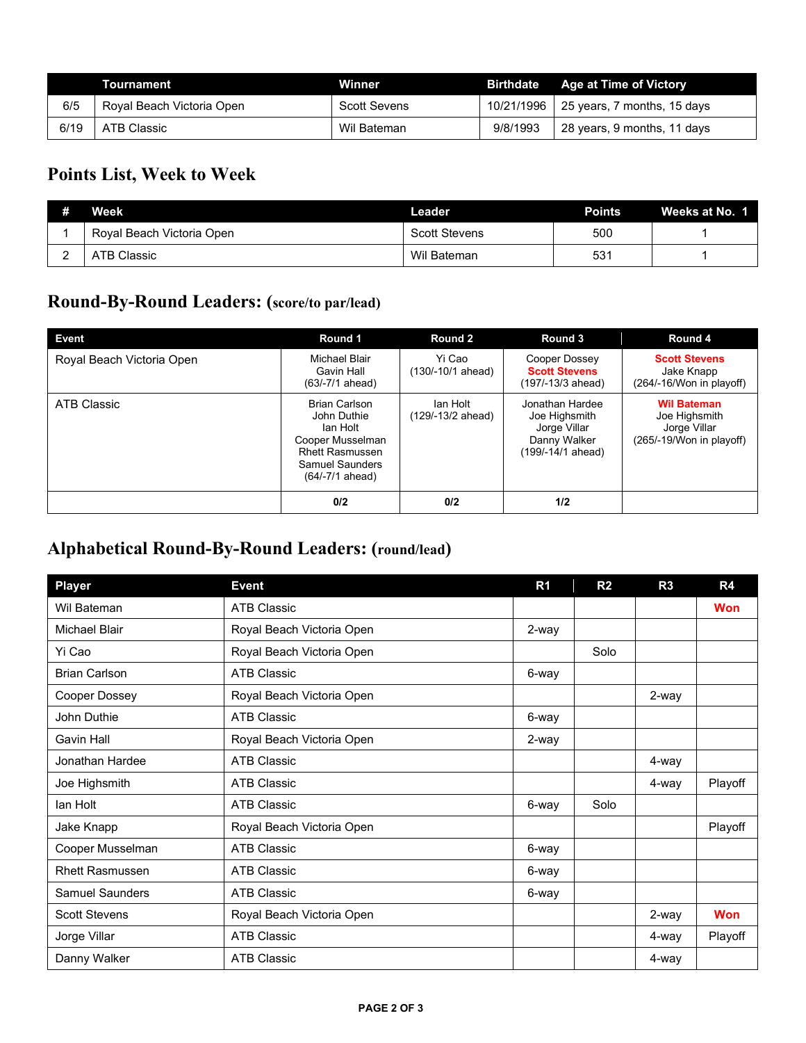|      | Tournament                | Winner              |            | <b>Birthdate</b> Age at Time of Victory |
|------|---------------------------|---------------------|------------|-----------------------------------------|
| 6/5  | Roval Beach Victoria Open | <b>Scott Sevens</b> | 10/21/1996 | 25 years, 7 months, 15 days             |
| 6/19 | ATB Classic               | Wil Bateman         | 9/8/1993   | 28 years, 9 months, 11 days             |

# **Points List, Week to Week**

| # | Week                      | Leader               | Points | Weeks at No. 1 |
|---|---------------------------|----------------------|--------|----------------|
|   | Roval Beach Victoria Open | <b>Scott Stevens</b> | 500    |                |
| - | <b>ATB Classic</b>        | Wil Bateman          | 531    |                |

# **Round-By-Round Leaders: (score/to par/lead)**

| Event                     | Round 1                                                                                                                             | Round 2                       | Round 3                                                                               | Round 4                                                                         |
|---------------------------|-------------------------------------------------------------------------------------------------------------------------------------|-------------------------------|---------------------------------------------------------------------------------------|---------------------------------------------------------------------------------|
| Royal Beach Victoria Open | Michael Blair<br>Gavin Hall<br>$(63/-7/1$ ahead)                                                                                    | Yi Cao<br>(130/-10/1 ahead)   | Cooper Dossey<br><b>Scott Stevens</b><br>(197/-13/3 ahead)                            | <b>Scott Stevens</b><br>Jake Knapp<br>(264/-16/Won in playoff)                  |
| ATB Classic               | <b>Brian Carlson</b><br>John Duthie<br>lan Holt<br>Cooper Musselman<br><b>Rhett Rasmussen</b><br>Samuel Saunders<br>(64/-7/1 ahead) | lan Holt<br>(129/-13/2 ahead) | Jonathan Hardee<br>Joe Highsmith<br>Jorge Villar<br>Danny Walker<br>(199/-14/1 ahead) | <b>Wil Bateman</b><br>Joe Highsmith<br>Jorge Villar<br>(265/-19/Won in playoff) |
|                           | 0/2                                                                                                                                 | 0/2                           | 1/2                                                                                   |                                                                                 |

# **Alphabetical Round-By-Round Leaders: (round/lead)**

| <b>Player</b>          | <b>Event</b>              | R <sub>1</sub> | R <sub>2</sub> | R3    | R4         |
|------------------------|---------------------------|----------------|----------------|-------|------------|
| Wil Bateman            | <b>ATB Classic</b>        |                |                |       | <b>Won</b> |
| <b>Michael Blair</b>   | Royal Beach Victoria Open | 2-way          |                |       |            |
| Yi Cao                 | Royal Beach Victoria Open |                | Solo           |       |            |
| <b>Brian Carlson</b>   | <b>ATB Classic</b>        | 6-way          |                |       |            |
| Cooper Dossey          | Royal Beach Victoria Open |                |                | 2-way |            |
| John Duthie            | <b>ATB Classic</b>        | 6-way          |                |       |            |
| Gavin Hall             | Royal Beach Victoria Open | 2-way          |                |       |            |
| Jonathan Hardee        | <b>ATB Classic</b>        |                |                | 4-way |            |
| Joe Highsmith          | <b>ATB Classic</b>        |                |                | 4-way | Playoff    |
| lan Holt               | <b>ATB Classic</b>        | 6-way          | Solo           |       |            |
| Jake Knapp             | Royal Beach Victoria Open |                |                |       | Playoff    |
| Cooper Musselman       | <b>ATB Classic</b>        | 6-way          |                |       |            |
| <b>Rhett Rasmussen</b> | <b>ATB Classic</b>        | 6-way          |                |       |            |
| <b>Samuel Saunders</b> | <b>ATB Classic</b>        | 6-way          |                |       |            |
| <b>Scott Stevens</b>   | Royal Beach Victoria Open |                |                | 2-way | <b>Won</b> |
| Jorge Villar           | <b>ATB Classic</b>        |                |                | 4-way | Playoff    |
| Danny Walker           | <b>ATB Classic</b>        |                |                | 4-way |            |